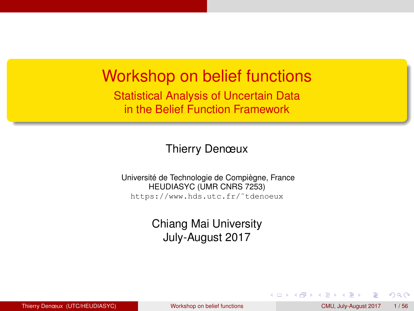#### <span id="page-0-0"></span>Workshop on belief functions

Statistical Analysis of Uncertain Data in the Belief Function Framework

Thierry Denœux

Université de Technologie de Compiègne, France HEUDIASYC (UMR CNRS 7253) https://www.hds.utc.fr/˜tdenoeux

> Chiang Mai University July-August 2017

 $QQ$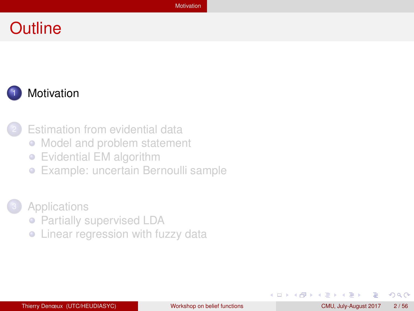#### <span id="page-1-0"></span>**Outline**





**[Estimation from evidential data](#page-13-0)** 

- [Model and problem statement](#page-14-0)
- [Evidential EM algorithm](#page-21-0)  $\bullet$
- [Example: uncertain Bernoulli sample](#page-24-0)
- **[Applications](#page-28-0)** 
	- [Partially supervised LDA](#page-29-0)
	- [Linear regression with fuzzy data](#page-43-0)

イロト イ母ト イヨト イヨ

 $QQ$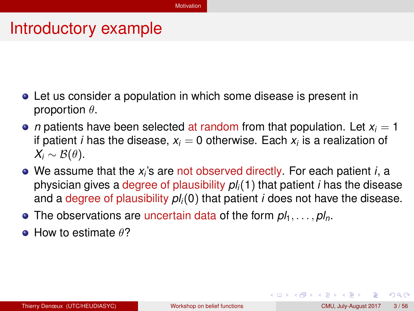#### <span id="page-2-0"></span>Introductory example

- Let us consider a population in which some disease is present in proportion  $\theta$ .
- *n* patients have been selected at random from that population. Let  $x_i = 1$ if patient *i* has the disease,  $x_i = 0$  otherwise. Each  $x_i$  is a realization of  $X_i \sim \mathcal{B}(\theta)$ .
- We assume that the *x<sub>i</sub>*'s are not observed directly. For each patient *i*, a physician gives a degree of plausibility *pli*(1) that patient *i* has the disease and a degree of plausibility *pli*(0) that patient *i* does not have the disease.
- The observations are uncertain data of the form  $p_1, \ldots, p_l$ .
- $\bullet$  How to estimate  $\theta$ ?

 $QQQ$ 

イロト イ母 トイラ トイラトー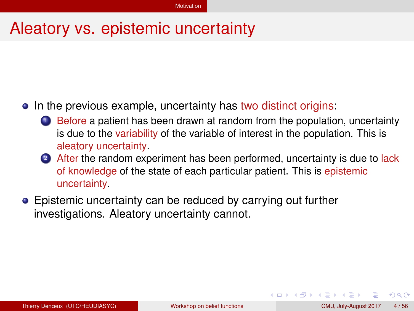## <span id="page-3-0"></span>Aleatory vs. epistemic uncertainty

#### • In the previous example, uncertainty has two distinct origins:

- **1** Before a patient has been drawn at random from the population, uncertainty is due to the variability of the variable of interest in the population. This is aleatory uncertainty.
- <sup>2</sup> After the random experiment has been performed, uncertainty is due to lack of knowledge of the state of each particular patient. This is epistemic uncertainty.
- Epistemic uncertainty can be reduced by carrying out further investigations. Aleatory uncertainty cannot.

 $QQ$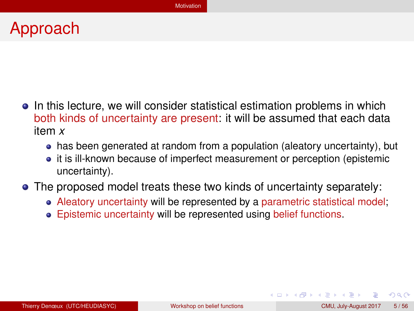## <span id="page-4-0"></span>Approach

- In this lecture, we will consider statistical estimation problems in which both kinds of uncertainty are present: it will be assumed that each data item *x*
	- has been generated at random from a population (aleatory uncertainty), but
	- it is ill-known because of imperfect measurement or perception (epistemic uncertainty).
- The proposed model treats these two kinds of uncertainty separately:
	- Aleatory uncertainty will be represented by a parametric statistical model;
	- Epistemic uncertainty will be represented using belief functions.

 $QQ$ 

イロト イ母 トイラト イラト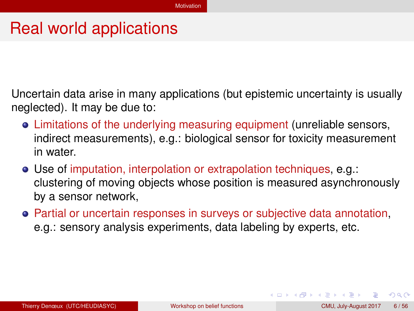#### <span id="page-5-0"></span>Real world applications

Uncertain data arise in many applications (but epistemic uncertainty is usually neglected). It may be due to:

- Limitations of the underlying measuring equipment (unreliable sensors, indirect measurements), e.g.: biological sensor for toxicity measurement in water.
- Use of imputation, interpolation or extrapolation techniques, e.g.: clustering of moving objects whose position is measured asynchronously by a sensor network,
- Partial or uncertain responses in surveys or subjective data annotation, e.g.: sensory analysis experiments, data labeling by experts, etc.

 $QQ$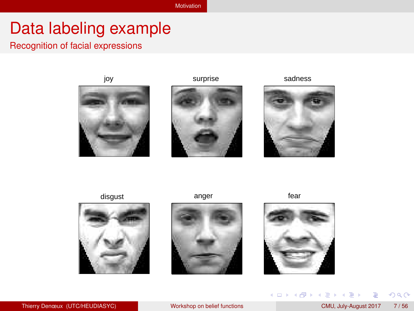## <span id="page-6-0"></span>Data labeling example

#### Recognition of facial expressions







disgust anger and anger fear







**K ロ ト K 倒 ト K ミ** 

Ξ

 $\mathbf{p}$ Þ ×.

 $298$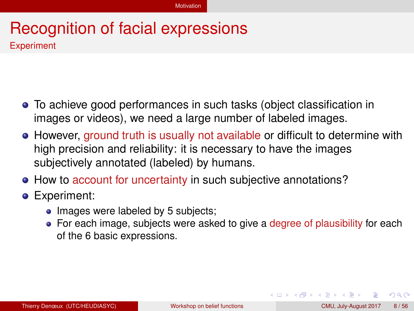#### <span id="page-7-0"></span>Recognition of facial expressions **Experiment**

- To achieve good performances in such tasks (object classification in images or videos), we need a large number of labeled images.
- However, ground truth is usually not available or difficult to determine with high precision and reliability: it is necessary to have the images subjectively annotated (labeled) by humans.
- How to account for uncertainty in such subjective annotations?
- **•** Experiment:
	- Images were labeled by 5 subjects;
	- For each image, subjects were asked to give a degree of plausibility for each of the 6 basic expressions.

 $QQ$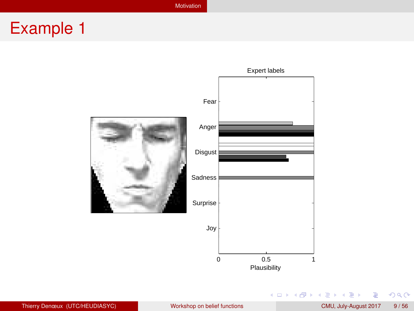[Motivation](#page-8-0)

# <span id="page-8-0"></span>Example 1



重

 $299$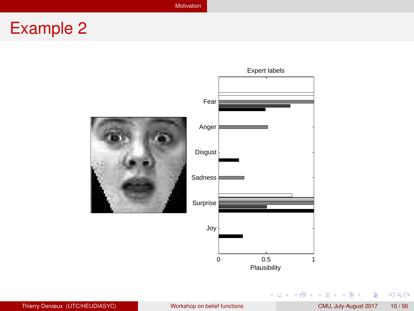[Motivation](#page-9-0)

# <span id="page-9-0"></span>Example 2



Thierry Denœux (UTC/HEUDIASYC) [Workshop on belief functions](#page-0-0) CMU, July-August 2017 10/56

重

 $298$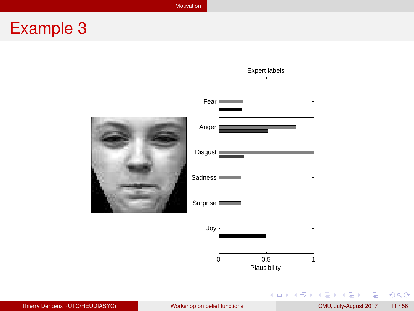[Motivation](#page-10-0)

# <span id="page-10-0"></span>Example 3



重

 $298$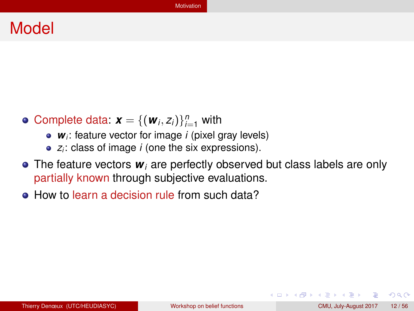#### <span id="page-11-0"></span>Model

- Complete data:  $\mathbf{x} = \{(\mathbf{w}_i, z_i)\}_{i=1}^n$  with
	- *wi*: feature vector for image *i* (pixel gray levels)
	- *zi*: class of image *i* (one the six expressions).
- **•** The feature vectors  $w_i$  are perfectly observed but class labels are only partially known through subjective evaluations.
- How to learn a decision rule from such data?

イロト イ母ト イヨト イヨト

 $QQ$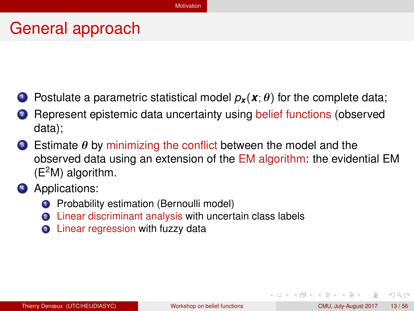## <span id="page-12-0"></span>General approach

- **1** Postulate a parametric statistical model  $p_x(x;\theta)$  for the complete data;
- **2** Represent epistemic data uncertainty using belief functions (observed data);
- $\bullet$  Estimate  $\theta$  by minimizing the conflict between the model and the observed data using an extension of the EM algorithm: the evidential EM  $(E<sup>2</sup>M)$  algorithm.
- 4 Applications:
	- **1** Probability estimation (Bernoulli model)
	- <sup>2</sup> Linear discriminant analysis with uncertain class labels
	- **3** Linear regression with fuzzy data

 $QQ$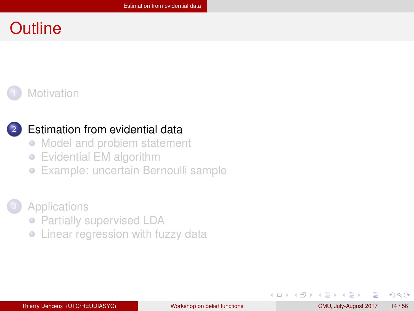## <span id="page-13-0"></span>**Outline**





#### [Estimation from evidential data](#page-13-0)

- [Model and problem statement](#page-14-0)  $\bigcirc$
- [Evidential EM algorithm](#page-21-0)  $\bullet$
- [Example: uncertain Bernoulli sample](#page-24-0)

#### **[Applications](#page-28-0)**

- [Partially supervised LDA](#page-29-0)
- [Linear regression with fuzzy data](#page-43-0)

 $QQ$ 

K ロ ⊁ K 倒 ≯ K 走 ⊁ K 走 ≯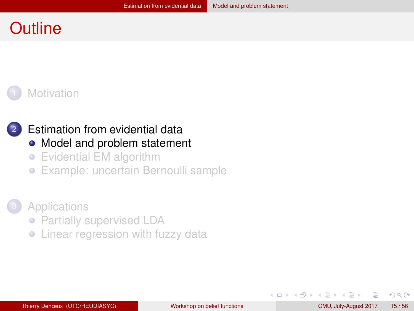## <span id="page-14-0"></span>**Outline**





# [Estimation from evidential data](#page-13-0)

- [Model and problem statement](#page-14-0)
- [Evidential EM algorithm](#page-21-0)  $\bullet$
- [Example: uncertain Bernoulli sample](#page-24-0)  $\bullet$



- [Partially supervised LDA](#page-29-0)
- [Linear regression with fuzzy data](#page-43-0)

 $QQ$ 

化重新分量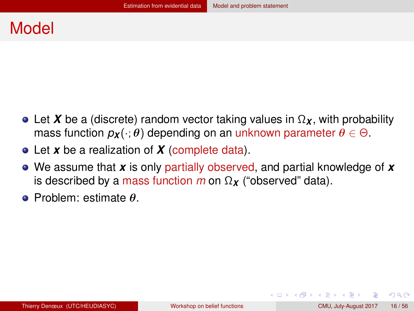#### <span id="page-15-0"></span>Model

- Let *X* be a (discrete) random vector taking values in  $\Omega_X$ , with probability mass function  $p_X(\cdot; \theta)$  depending on an unknown parameter  $\theta \in \Theta$ .
- Let *x* be a realization of *X* (complete data).
- We assume that *x* is only partially observed, and partial knowledge of *x* is described by a mass function *m* on Ω*<sup>X</sup>* ("observed" data).
- Problem: estimate θ.

 $QQQ$ 

イロト イ母 トイラ トイラトー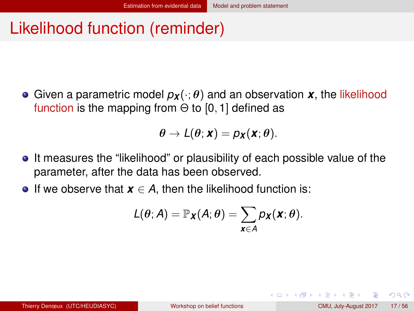## <span id="page-16-0"></span>Likelihood function (reminder)

**Given a parametric model**  $p_{\boldsymbol{X}}(\cdot;\boldsymbol{\theta})$  **and an observation**  $\boldsymbol{X}$ **, the likelihood** function is the mapping from  $\Theta$  to [0, 1] defined as

$$
\theta \to L(\theta; \mathbf{x}) = p_{\mathbf{X}}(\mathbf{x}; \theta).
$$

- It measures the "likelihood" or plausibility of each possible value of the parameter, after the data has been observed.
- **•** If we observe that  $x \in A$ , then the likelihood function is:

$$
L(\theta; A) = \mathbb{P}_{\boldsymbol{X}}(A; \theta) = \sum_{\boldsymbol{x} \in A} p_{\boldsymbol{X}}(\boldsymbol{x}; \theta).
$$

 $QQ$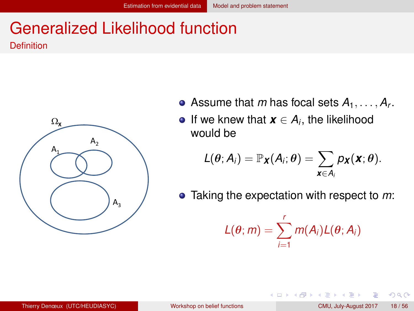# <span id="page-17-0"></span>Generalized Likelihood function

Definition



- Assume that *m* has focal sets  $A_1, \ldots, A_r$ .
- If we knew that  $\boldsymbol{x} \in A_i$ , the likelihood would be

$$
L(\theta; A_i) = \mathbb{P}_{\boldsymbol{X}}(A_i; \theta) = \sum_{\boldsymbol{X} \in A_i} p_{\boldsymbol{X}}(\boldsymbol{X}; \theta).
$$

Taking the expectation with respect to *m*:

$$
L(\theta; m) = \sum_{i=1}^r m(A_i) L(\theta; A_i)
$$

 $QQ$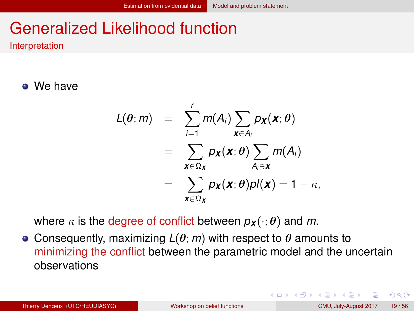# <span id="page-18-0"></span>Generalized Likelihood function

Interpretation

We have

$$
L(\theta; m) = \sum_{i=1}^{r} m(A_i) \sum_{\mathbf{x} \in A_i} p_{\mathbf{x}}(\mathbf{x}; \theta)
$$
  
= 
$$
\sum_{\mathbf{x} \in \Omega_{\mathbf{x}}} p_{\mathbf{x}}(\mathbf{x}; \theta) \sum_{A_i \ni \mathbf{x}} m(A_i)
$$
  
= 
$$
\sum_{\mathbf{x} \in \Omega_{\mathbf{x}}} p_{\mathbf{x}}(\mathbf{x}; \theta) p I(\mathbf{x}) = 1 - \kappa,
$$

where  $\kappa$  is the degree of conflict between  $p_{\mathbf{X}}(\cdot; \theta)$  and m.

**Consequently, maximizing**  $L(\theta; m)$  **with respect to**  $\theta$  **amounts to** minimizing the conflict between the parametric model and the uncertain observations

 $QQ$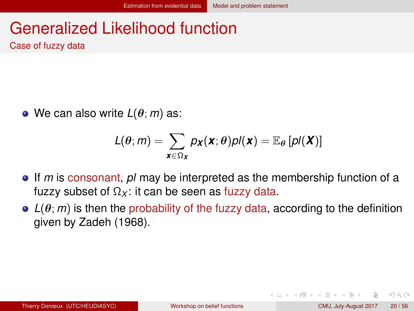# <span id="page-19-0"></span>Generalized Likelihood function

Case of fuzzy data

We can also write *L*(θ; *m*) as:

$$
L(\theta; m) = \sum_{\mathbf{x} \in \Omega_{\mathbf{X}}} p_{\mathbf{X}}(\mathbf{x}; \theta) p \mathbf{I}(\mathbf{x}) = \mathbb{E}_{\theta} [p \mathbf{I}(\mathbf{X})]
$$

- If *m* is consonant, *pl* may be interpreted as the membership function of a fuzzy subset of  $\Omega_X$ : it can be seen as fuzzy data.
- $\bullet$   $L(\theta; m)$  is then the probability of the fuzzy data, according to the definition given by Zadeh (1968).

イロト イ母ト イヨト イヨト

 $QQ$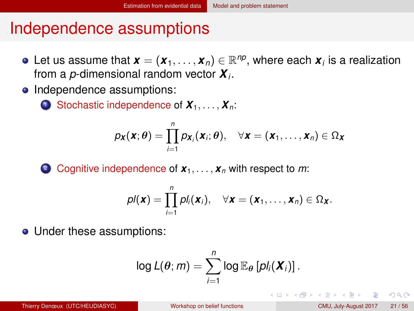## <span id="page-20-0"></span>Independence assumptions

- Let us assume that  $\bm{x} = (\bm{x}_1, \dots, \bm{x}_n) \in \mathbb{R}^{np}$ , where each  $\bm{x}_i$  is a realization from a *p*-dimensional random vector *X<sup>i</sup>* .
- Independence assumptions:
	- **1** Stochastic independence of  $X_1, \ldots, X_n$ :

$$
p_{\boldsymbol{X}}(\boldsymbol{X};\boldsymbol{\theta})=\prod_{i=1}^n p_{\boldsymbol{X}_i}(\boldsymbol{X}_i;\boldsymbol{\theta}), \quad \forall \boldsymbol{X}=(\boldsymbol{X}_1,\ldots,\boldsymbol{X}_n)\in \Omega_{\boldsymbol{X}}
$$

<sup>2</sup> Cognitive independence of *x*1, . . . , *x<sup>n</sup>* with respect to *m*:

$$
pI(\mathbf{x}) = \prod_{i=1}^n pI_i(\mathbf{x}_i), \quad \forall \mathbf{x} = (\mathbf{x}_1, \ldots, \mathbf{x}_n) \in \Omega_{\mathbf{X}}.
$$

• Under these assumptions:

$$
\log L(\theta; m) = \sum_{i=1}^n \log \mathbb{E}_{\theta} \left[ p l_i(\boldsymbol{X}_i) \right].
$$

 $QQQ$ 

イロト イ押ト イヨト イヨトー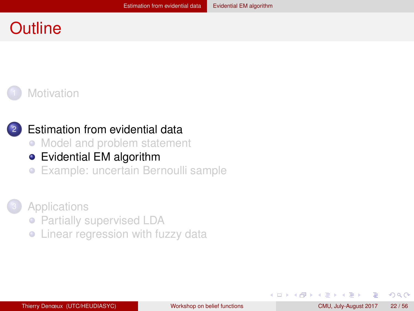#### <span id="page-21-0"></span>**Outline**





#### [Estimation from evidential data](#page-13-0)

- [Model and problem statement](#page-14-0)  $\bullet$
- [Evidential EM algorithm](#page-21-0)
- [Example: uncertain Bernoulli sample](#page-24-0)



- [Partially supervised LDA](#page-29-0)
- [Linear regression with fuzzy data](#page-43-0)

**KENKE** 

 $QQ$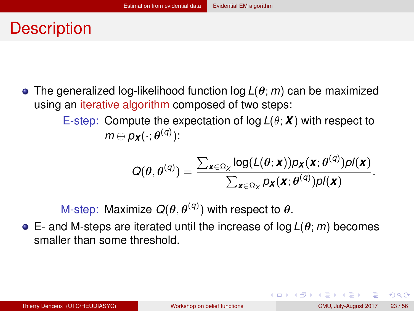## <span id="page-22-0"></span>**Description**

The generalized log-likelihood function log *L*(θ; *m*) can be maximized using an iterative algorithm composed of two steps:

> E-step: Compute the expectation of log *L*(θ; *X*) with respect to  $m \oplus p_{\boldsymbol{X}}(\cdot; \boldsymbol{\theta}^{(q)})$ :

$$
Q(\theta,\theta^{(q)})=\frac{\sum_{\boldsymbol{x}\in\Omega_{X}}\log(L(\theta;\boldsymbol{x}))\rho_{\boldsymbol{X}}(\boldsymbol{x};\theta^{(q)})\rho l(\boldsymbol{x})}{\sum_{\boldsymbol{x}\in\Omega_{X}}\rho_{\boldsymbol{X}}(\boldsymbol{x};\theta^{(q)})\rho l(\boldsymbol{x})}.
$$

M-step: Maximize  $Q(\theta, \theta^{(q)})$  with respect to  $\theta$ .

E- and M-steps are iterated until the increase of log *L*(θ; *m*) becomes smaller than some threshold.

 $QQQ$ 

イロト イ母 トイラ トイラトー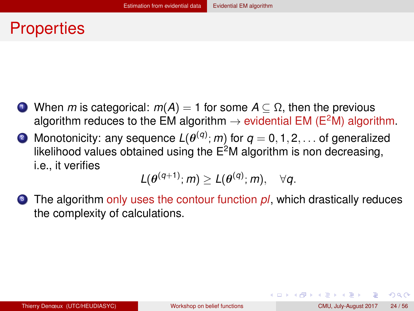## <span id="page-23-0"></span>**Properties**

- $\bigcirc$  When *m* is categorical: *m*(*A*) = 1 for some *A* ⊂ Ω, then the previous algorithm reduces to the EM algorithm  $\rightarrow$  evidential EM (E<sup>2</sup>M) algorithm.
- $2$  Monotonicity: any sequence  $L(\theta^{(q)}; m)$  for  $q = 0, 1, 2, \ldots$  of generalized likelihood values obtained using the  $E^2M$  algorithm is non decreasing, i.e., it verifies

$$
L(\theta^{(q+1)};m)\geq L(\theta^{(q)};m),\quad \forall q.
$$

<sup>3</sup> The algorithm only uses the contour function *pl*, which drastically reduces the complexity of calculations.

 $QQ$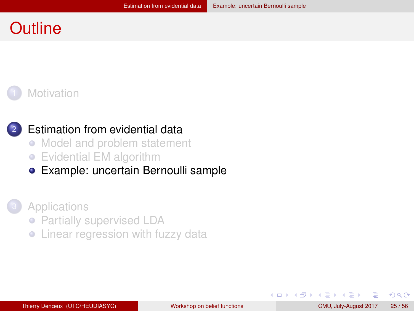## <span id="page-24-0"></span>**Outline**





#### [Estimation from evidential data](#page-13-0)

- [Model and problem statement](#page-14-0)  $\bullet$
- [Evidential EM algorithm](#page-21-0)
- [Example: uncertain Bernoulli sample](#page-24-0)  $\bullet$



- [Partially supervised LDA](#page-29-0)
- [Linear regression with fuzzy data](#page-43-0)

 $QQ$ 

化重新润滑脂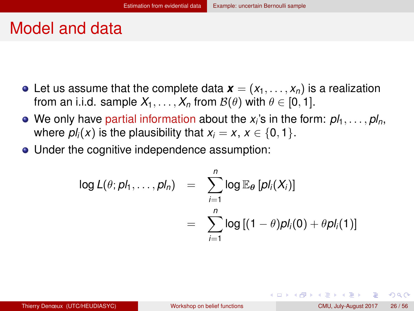#### <span id="page-25-0"></span>Model and data

- Let us assume that the complete data  $\mathbf{x} = (x_1, \ldots, x_n)$  is a realization from an i.i.d. sample  $X_1, \ldots, X_n$  from  $\mathcal{B}(\theta)$  with  $\theta \in [0, 1]$ .
- We only have partial information about the  $x_i$ 's in the form:  $p l_1, \ldots, p l_n,$ where  $pl_i(x)$  is the plausibility that  $x_i = x, x \in \{0, 1\}$ .
- Under the cognitive independence assumption:

$$
\log L(\theta; p l_1, \ldots, p l_n) = \sum_{i=1}^n \log \mathbb{E}_{\theta} [p l_i(X_i)]
$$
  
= 
$$
\sum_{i=1}^n \log [(1-\theta) p l_i(0) + \theta p l_i(1)]
$$

 $QQQ$ 

イロト イ母 トイラ トイラトー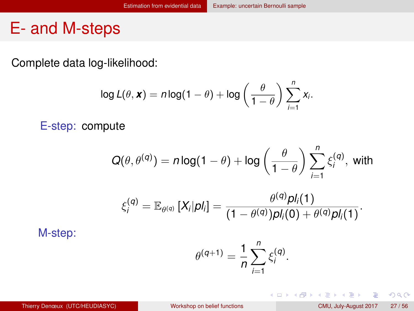#### <span id="page-26-0"></span>E- and M-steps

Complete data log-likelihood:

$$
\log L(\theta, \mathbf{x}) = n \log(1 - \theta) + \log \left( \frac{\theta}{1 - \theta} \right) \sum_{i=1}^{n} x_i.
$$

E-step: compute

$$
Q(\theta, \theta^{(q)}) = n \log(1 - \theta) + \log \left( \frac{\theta}{1 - \theta} \right) \sum_{i=1}^{n} \xi_i^{(q)}, \text{ with}
$$

$$
\xi_i^{(q)} = \mathbb{E}_{\theta^{(q)}}[X_i|pl_i] = \frac{\theta^{(q)}pl_i(1)}{(1-\theta^{(q)})pl_i(0)+\theta^{(q)}pl_i(1)}.
$$

M-step:

$$
\theta^{(q+1)} = \frac{1}{n} \sum_{i=1}^{n} \xi_i^{(q)}.
$$

画

 $2Q$ 

**K ロ ⊁ K 倒 ≯ K ミ ⊁ K ミ ⊁**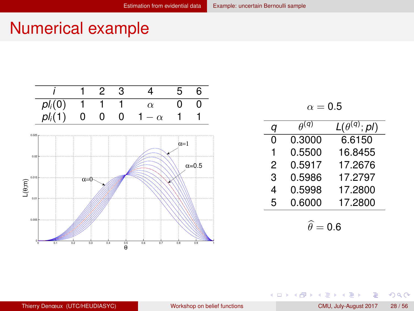## <span id="page-27-0"></span>Numerical example



$$
\alpha = \text{0.5}
$$

| a | $\rho$ (q) | $L(\theta^{(q)}; \rho)$ |
|---|------------|-------------------------|
| 0 | 0.3000     | 6.6150                  |
| 1 | 0.5500     | 16.8455                 |
| 2 | 0.5917     | 17.2676                 |
| 3 | 0.5986     | 17.2797                 |
| 4 | 0.5998     | 17.2800                 |
| 5 | 0.6000     | 17.2800                 |
|   |            |                         |

$$
\widehat{\theta}=0.6
$$

**K ロ ト K 倒 ト K ミ ト** 

E

×. Þ  $2Q$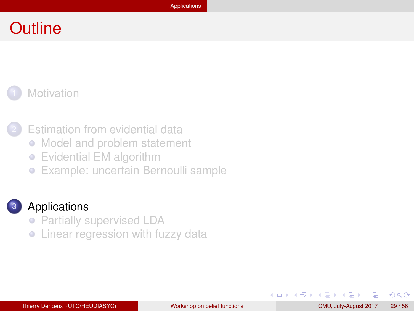#### <span id="page-28-0"></span>**Outline**





**[Estimation from evidential data](#page-13-0)** 

- [Model and problem statement](#page-14-0)  $\bullet$
- [Evidential EM algorithm](#page-21-0)  $\bullet$
- [Example: uncertain Bernoulli sample](#page-24-0)

#### **[Applications](#page-28-0)**

- [Partially supervised LDA](#page-29-0)
- [Linear regression with fuzzy data](#page-43-0)

 $QQ$ 

K ロ ⊁ K 倒 ≯ K 走 ⊁ K 走 ≯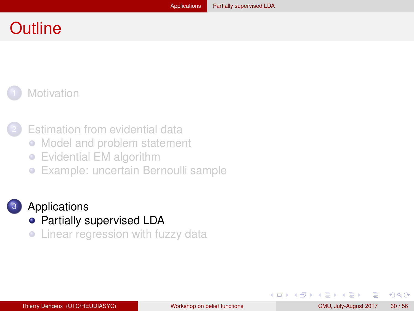## <span id="page-29-0"></span>**Outline**





**[Estimation from evidential data](#page-13-0)** 

- [Model and problem statement](#page-14-0)  $\bullet$
- [Evidential EM algorithm](#page-21-0)  $\bullet$
- [Example: uncertain Bernoulli sample](#page-24-0)  $\bullet$



#### **[Applications](#page-28-0)**

- [Partially supervised LDA](#page-29-0)
- [Linear regression with fuzzy data](#page-43-0)

 $QQ$ 

化重新润滑脂

( □ ) ( <sub>□</sub> )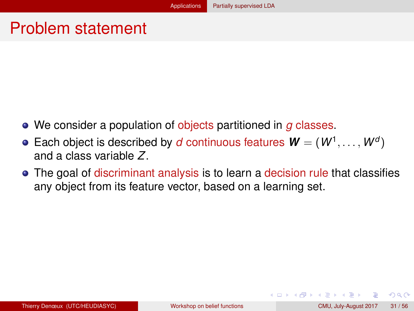#### <span id="page-30-0"></span>Problem statement

- We consider a population of objects partitioned in *g* classes.
- Each object is described by *d* continuous features  $\boldsymbol{W} = (W^1, \dots, W^d)$ and a class variable *Z*.
- The goal of discriminant analysis is to learn a decision rule that classifies any object from its feature vector, based on a learning set.

 $QQQ$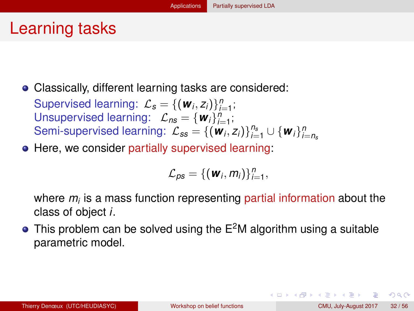## <span id="page-31-0"></span>Learning tasks

Classically, different learning tasks are considered:

Supervised learning:  $\mathcal{L}_s = \{(\mathbf{w}_i, z_i)\}_{i=1}^n$ ; Unsupervised learning:  $\mathcal{L}_{ns} = {\mathbf{w}_i}_{i=1}^n$ ; Semi-supervised learning:  $\mathcal{L}_{ss} = \{(\mathbf{w}_i, z_i)\}_{i=1}^{n_s} \cup {\mathbf{w}_i}_{i=n_s}^{n_s}$ 

**• Here, we consider partially supervised learning:** 

$$
\mathcal{L}_{\rho s} = \{(\boldsymbol{w}_i, m_i)\}_{i=1}^n,
$$

where *m<sup>i</sup>* is a mass function representing partial information about the class of object *i*.

 $\bullet$  This problem can be solved using the  $E^2M$  algorithm using a suitable parametric model.

 $QQQ$ 

イロト イ押ト イヨト イヨトー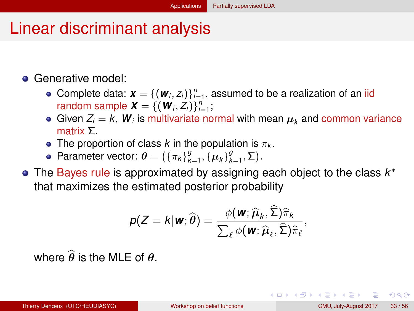## <span id="page-32-0"></span>Linear discriminant analysis

#### **• Generative model:**

- Complete data:  $\boldsymbol{x} = \{(\boldsymbol{w}_i, z_i)\}_{i=1}^n$ , assumed to be a realization of an iid random sample  $\boldsymbol{X} = \{(\boldsymbol{W}_i, Z_i)\}_{i=1}^n$ ;
- Given  $Z_i = k$ ,  $\boldsymbol{W}_i$  is multivariate normal with mean  $\boldsymbol{\mu}_k$  and common variance matrix Σ.
- The proportion of class  $k$  in the population is  $\pi_k$ .
- Parameter vector:  $\boldsymbol{\theta} = (\{\pi_k\}_{k=1}^g, \{\boldsymbol{\mu}_k\}_{k=1}^g, \boldsymbol{\Sigma}).$
- The Bayes rule is approximated by assigning each object to the class *k* ∗ that maximizes the estimated posterior probability

$$
p(Z = k | \mathbf{w}; \widehat{\boldsymbol{\theta}}) = \frac{\phi(\mathbf{w}; \widehat{\boldsymbol{\mu}}_k, \widehat{\boldsymbol{\Sigma}}) \widehat{\pi}_k}{\sum_{\ell} \phi(\mathbf{w}; \widehat{\boldsymbol{\mu}}_{\ell}, \widehat{\boldsymbol{\Sigma}}) \widehat{\pi}_{\ell}},
$$

where  $\hat{\theta}$  is the MLE of  $\theta$ .

 $\Omega$ 

イロト イ押ト イヨト イヨト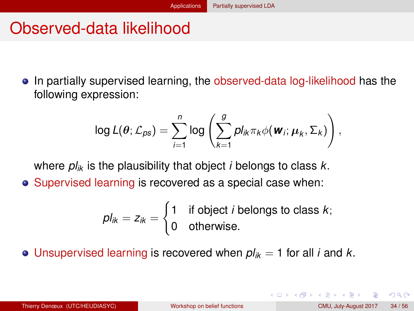# <span id="page-33-0"></span>Observed-data likelihood

In partially supervised learning, the observed-data log-likelihood has the following expression:

$$
\log L(\theta; \mathcal{L}_{\rho s}) = \sum_{i=1}^{n} \log \left( \sum_{k=1}^{g} p I_{ik} \pi_k \phi(\boldsymbol{w}_i; \boldsymbol{\mu}_k, \boldsymbol{\Sigma}_k) \right),
$$

where *plik* is the plausibility that object *i* belongs to class *k*.

• Supervised learning is recovered as a special case when:

$$
pl_{ik} = z_{ik} = \begin{cases} 1 & \text{if object } i \text{ belongs to class } k; \\ 0 & \text{otherwise.} \end{cases}
$$

• Unsupervised learning is recovered when  $p l_{ik} = 1$  for all *i* and *k*.

 $QQQ$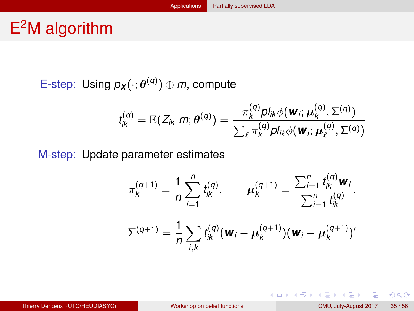# <span id="page-34-0"></span>E <sup>2</sup>M algorithm

E-step: Using  $p_{\boldsymbol{X}}(\cdot; \boldsymbol{\theta}^{(q)}) \oplus m$ , compute

$$
t_{ik}^{(q)} = \mathbb{E}(Z_{ik}|m; \theta^{(q)}) = \frac{\pi_k^{(q)} p l_{ik} \phi(\boldsymbol{w}_i; \boldsymbol{\mu}_k^{(q)}, \boldsymbol{\Sigma}^{(q)})}{\sum_{\ell} \pi_k^{(q)} p l_{i\ell} \phi(\boldsymbol{w}_i; \boldsymbol{\mu}_{\ell}^{(q)}, \boldsymbol{\Sigma}^{(q)})}
$$

M-step: Update parameter estimates

$$
\pi_k^{(q+1)} = \frac{1}{n} \sum_{i=1}^n t_{ik}^{(q)}, \qquad \mu_k^{(q+1)} = \frac{\sum_{i=1}^n t_{ik}^{(q)} \mathbf{w}_i}{\sum_{i=1}^n t_{ik}^{(q)}}.
$$

$$
\Sigma^{(q+1)} = \frac{1}{n} \sum_{i,k} t_{ik}^{(q)} (\mathbf{w}_i - \mu_k^{(q+1)}) (\mathbf{w}_i - \mu_k^{(q+1)})'
$$

 $\Omega$ 

イロン イ団ン イヨン イヨン 一番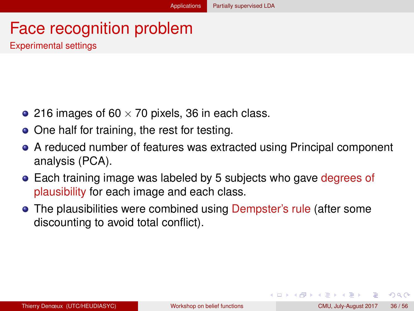#### <span id="page-35-0"></span>Face recognition problem Experimental settings

- 216 images of 60  $\times$  70 pixels, 36 in each class.
- One half for training, the rest for testing.
- A reduced number of features was extracted using Principal component analysis (PCA).
- **Each training image was labeled by 5 subjects who gave degrees of** plausibility for each image and each class.
- The plausibilities were combined using Dempster's rule (after some discounting to avoid total conflict).

 $QQQ$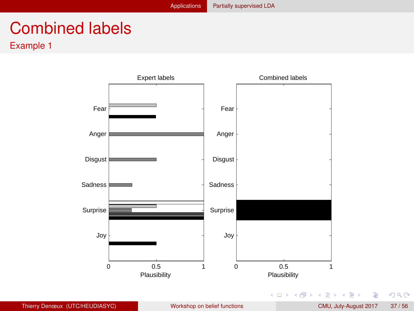# <span id="page-36-0"></span>Combined labels

Example 1



÷,

 $2Q$ 

K ロ ⊁ K 伊 ⊁ K ミ ⊁ K ミ ⊁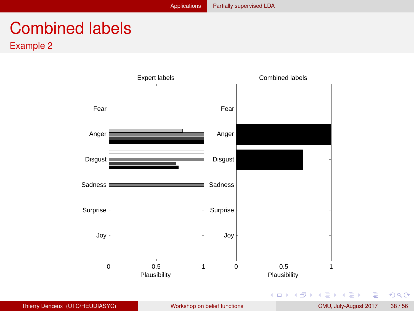# <span id="page-37-0"></span>Combined labels

Example 2



÷,

 $2Q$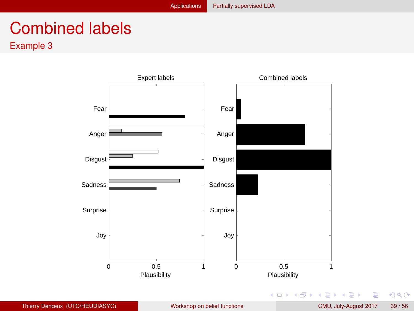# <span id="page-38-0"></span>Combined labels

Example 3



÷,

 $2Q$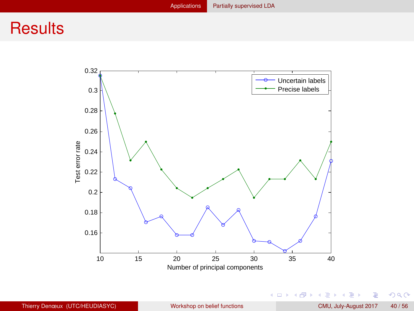## <span id="page-39-0"></span>**Results**



 $\equiv$ 

 $2Q$ 

K ロ ⊁ K 伊 ⊁ K ミ ⊁ K ミ ⊁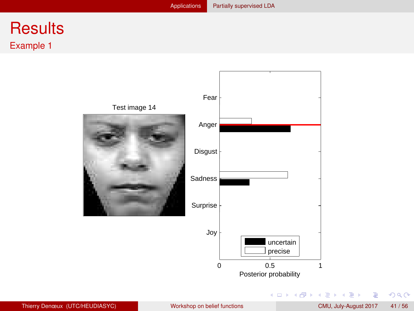#### <span id="page-40-0"></span>**Results** Example 1



重

 $298$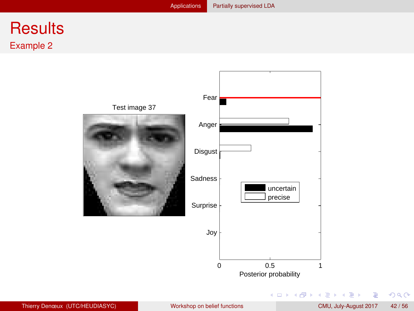#### <span id="page-41-0"></span>**Results** Example 2



重

 $298$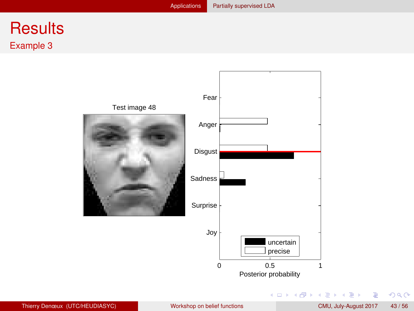#### <span id="page-42-0"></span>**Results** Example 3



重

 $298$ 

**K ロ ⊁ K 倒 ≯ K ミ ⊁ K ミ ⊁**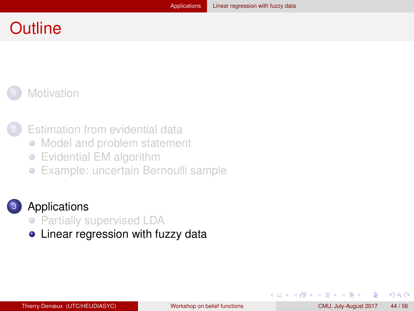#### <span id="page-43-0"></span>**Outline**

#### **[Motivation](#page-1-0)**

- 
- **[Estimation from evidential data](#page-13-0)**
- [Model and problem statement](#page-14-0)  $\bullet$
- [Evidential EM algorithm](#page-21-0)  $\bullet$
- [Example: uncertain Bernoulli sample](#page-24-0)  $\bullet$



#### **[Applications](#page-28-0)**

- [Partially supervised LDA](#page-29-0)
- [Linear regression with fuzzy data](#page-43-0)

 $QQ$ 

化重新润滑脂

( □ ) ( <sub>□</sub> )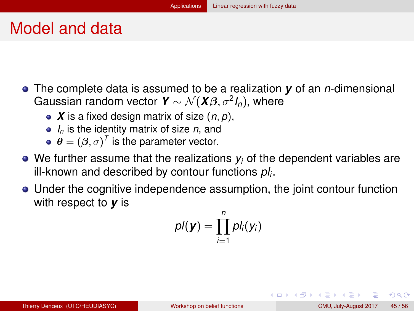#### <span id="page-44-0"></span>Model and data

- The complete data is assumed to be a realization *y* of an *n*-dimensional Gaussian random vector  $\textbf{\textit{Y}} \sim \mathcal{N}(\textbf{\textit{X}}\beta, \sigma^2\textit{I}_n),$  where
	- *X* is a fixed design matrix of size (*n*, *p*),
	- *I<sup>n</sup>* is the identity matrix of size *n*, and
	- $\boldsymbol{\theta} = (\boldsymbol{\beta}, \sigma)^T$  is the parameter vector.
- We further assume that the realizations *y<sup>i</sup>* of the dependent variables are ill-known and described by contour functions *pl<sup>i</sup>* .
- Under the cognitive independence assumption, the joint contour function with respect to *y* is

$$
\rho I(\bm{y}) = \prod_{i=1}^n \rho I_i(y_i)
$$

 $QQ$ 

イロト イ母ト イヨト イヨト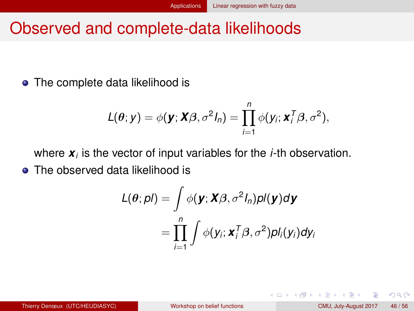## <span id="page-45-0"></span>Observed and complete-data likelihoods

• The complete data likelihood is

$$
L(\theta; y) = \phi(\mathbf{y}; \mathbf{X}\beta, \sigma^2 I_n) = \prod_{i=1}^n \phi(y_i; \mathbf{x}_i^T\beta, \sigma^2),
$$

where *x<sup>i</sup>* is the vector of input variables for the *i*-th observation. • The observed data likelihood is

$$
L(\theta; \rho I) = \int \phi(\mathbf{y}; \mathbf{X}\beta, \sigma^2 I_n) \rho I(\mathbf{y}) d\mathbf{y}
$$
  
= 
$$
\prod_{i=1}^n \int \phi(y_i; \mathbf{x}_i^T \beta, \sigma^2) \rho I_i(y_i) dy_i
$$

 $QQ$ 

化重新分量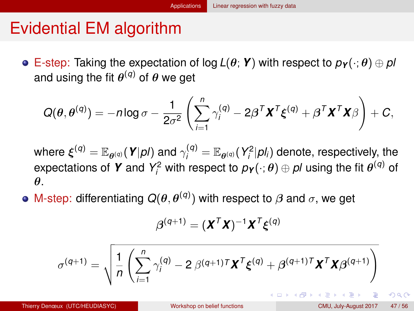## <span id="page-46-0"></span>Evidential EM algorithm

 $\bullet$  E-step: Taking the expectation of log  $L(\theta; Y)$  with respect to  $p_Y(\cdot; \theta) \oplus pI$ and using the fit  $\theta^{(q)}$  of  $\theta$  we get

$$
Q(\theta, \theta^{(q)}) = -n \log \sigma - \frac{1}{2\sigma^2} \left( \sum_{i=1}^n \gamma_i^{(q)} - 2\beta^T \mathbf{X}^T \boldsymbol{\xi}^{(q)} + \beta^T \mathbf{X}^T \mathbf{X} \beta \right) + C,
$$

where  $\bm{\xi}^{(q)} = \mathbb{E}_{\bm{\theta}^{(q)}}(\bm{Y}|\bm{\rho l})$  and  $\gamma^{(q)}_i = \mathbb{E}_{\bm{\theta}^{(q)}}(Y^2_i|\bm{\rho}l_i)$  denote, respectively, the expectations of **Y** and  $Y_i^2$  with respect to  $p_Y(\cdot; \theta) \oplus pI$  using the fit  $\theta^{(q)}$  of θ.

M-step: differentiating  $Q(\theta, \theta^{(q)})$  with respect to  $\beta$  and  $\sigma$ , we get

$$
\boldsymbol{\beta}^{(q+1)} = (\boldsymbol{X}^T\boldsymbol{X})^{-1}\boldsymbol{X}^T\boldsymbol{\xi}^{(q)}
$$

$$
\sigma^{(q+1)} = \sqrt{\frac{1}{n} \left( \sum_{i=1}^{n} \gamma_i^{(q)} - 2 \beta^{(q+1)T} \mathbf{X}^T \xi^{(q)} + \beta^{(q+1)T} \mathbf{X}^T \mathbf{X} \beta^{(q+1)} \right)}
$$

 $QQQ$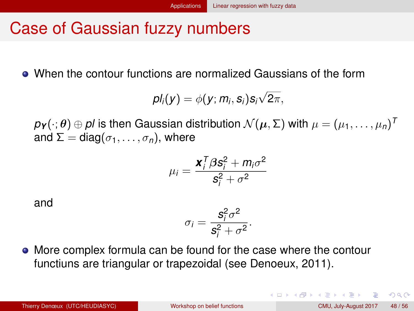## <span id="page-47-0"></span>Case of Gaussian fuzzy numbers

When the contour functions are normalized Gaussians of the form

$$
pl_i(y) = \phi(y; m_i, s_i) s_i \sqrt{2\pi},
$$

 $\rho$ **y** $(\cdot; \theta) \oplus \rho$ / is then Gaussian distribution  $\mathcal{N}(\mu, \Sigma)$  with  $\mu = (\mu_1, \dots, \mu_n)^T$ and  $\Sigma = \text{diag}(\sigma_1, \ldots, \sigma_n)$ , where

$$
\mu_i = \frac{\mathbf{x}_i^T \beta \mathbf{s}_i^2 + m_i \sigma^2}{\mathbf{s}_i^2 + \sigma^2}
$$

and

$$
\sigma_i = \frac{s_i^2 \sigma^2}{s_i^2 + \sigma^2}.
$$

More complex formula can be found for the case where the contour functiuns are triangular or trapezoidal (see Denoeux, 2011).

 $QQQ$ 

 $(1 + 4\sqrt{10}) + (1 + 4\sqrt{10}) + (1 + 4\sqrt{10})$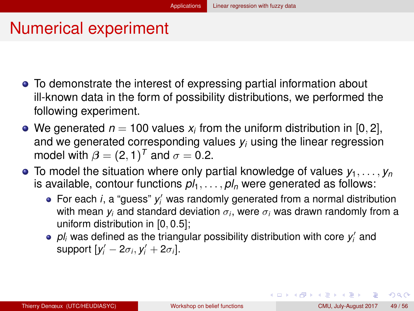# <span id="page-48-0"></span>Numerical experiment

- To demonstrate the interest of expressing partial information about ill-known data in the form of possibility distributions, we performed the following experiment.
- We generated  $n = 100$  values  $x_i$  from the uniform distribution in  $[0, 2]$ , and we generated corresponding values *y<sup>i</sup>* using the linear regression model with  $\beta = (2, 1)^T$  and  $\sigma = 0.2$ .
- $\bullet$  To model the situation where only partial knowledge of values  $y_1, \ldots, y_n$ is available, contour functions  $p_1, \ldots, p_n$  were generated as follows:
	- For each *i*, a "guess"  $y'_i$  was randomly generated from a normal distribution with mean  $y_i$  and standard deviation  $\sigma_i$ , were  $\sigma_i$  was drawn randomly from a uniform distribution in [0, 0.5];
	- $p$ *l<sub>i</sub>* was defined as the triangular possibility distribution with core  $y'_i$  and support  $[y'_i - 2\sigma_i, y'_i + 2\sigma_i]$ .

 $QQQ$ 

 $(1 + 4\sqrt{10}) + (1 + 4\sqrt{10}) + (1 + 4\sqrt{10})$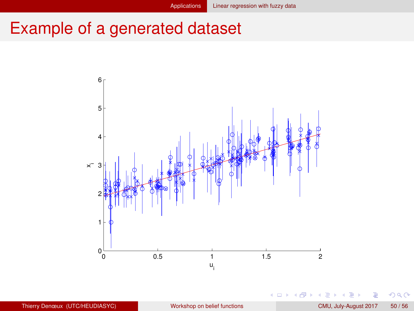# <span id="page-49-0"></span>Example of a generated dataset



4 0 8

 $\prec$ 

 $290$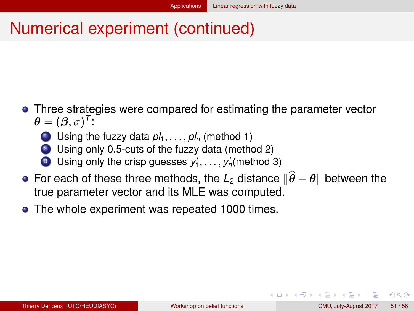# <span id="page-50-0"></span>Numerical experiment (continued)

- Three strategies were compared for estimating the parameter vector  $\boldsymbol{\theta} = (\boldsymbol{\beta}, \sigma)^T$ :
	- **1** Using the fuzzy data  $pl_1, \ldots, pl_n$  (method 1)
	- 2 Using only 0.5-cuts of the fuzzy data (method 2)
	- **0** Using only the crisp guesses  $y'_1, \ldots, y'_n$  (method 3)
- **•** For each of these three methods, the  $L_2$  distance  $\|\hat{\theta} \theta\|$  between the true parameter vector and its MLE was computed.
- The whole experiment was repeated 1000 times.

つひひ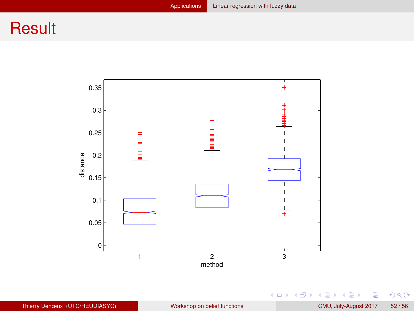## <span id="page-51-0"></span>**Result**



重

 $299$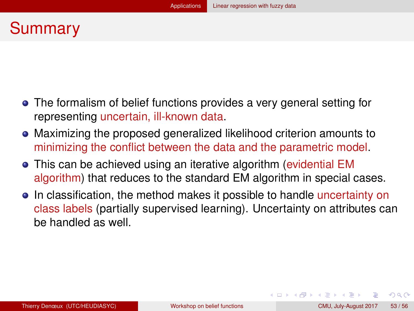## <span id="page-52-0"></span>Summary

- The formalism of belief functions provides a very general setting for representing uncertain, ill-known data.
- Maximizing the proposed generalized likelihood criterion amounts to minimizing the conflict between the data and the parametric model.
- This can be achieved using an iterative algorithm (evidential EM algorithm) that reduces to the standard EM algorithm in special cases.
- In classification, the method makes it possible to handle uncertainty on class labels (partially supervised learning). Uncertainty on attributes can be handled as well.

 $QQ$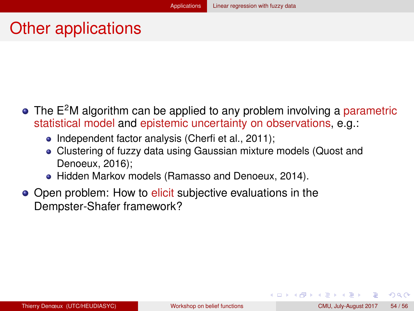## <span id="page-53-0"></span>Other applications

- $\bullet$  The E<sup>2</sup>M algorithm can be applied to any problem involving a parametric statistical model and epistemic uncertainty on observations, e.g.:
	- Independent factor analysis (Cherfi et al., 2011);
	- Clustering of fuzzy data using Gaussian mixture models (Quost and Denoeux, 2016);
	- Hidden Markov models (Ramasso and Denoeux, 2014).
- Open problem: How to elicit subjective evaluations in the Dempster-Shafer framework?

 $QQ$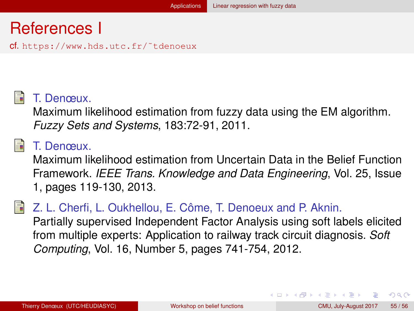## <span id="page-54-0"></span>References I

cf. https://www.hds.utc.fr/˜tdenoeux



#### T. Denœux.

Maximum likelihood estimation from fuzzy data using the EM algorithm. *Fuzzy Sets and Systems*, 183:72-91, 2011.

#### T. Denœux.

Maximum likelihood estimation from Uncertain Data in the Belief Function Framework. *IEEE Trans. Knowledge and Data Engineering*, Vol. 25, Issue 1, pages 119-130, 2013.

#### Z. L. Cherfi, L. Oukhellou, E. Côme, T. Denoeux and P. Aknin.

Partially supervised Independent Factor Analysis using soft labels elicited from multiple experts: Application to railway track circuit diagnosis. *Soft Computing*, Vol. 16, Number 5, pages 741-754, 2012.

 $\Omega$